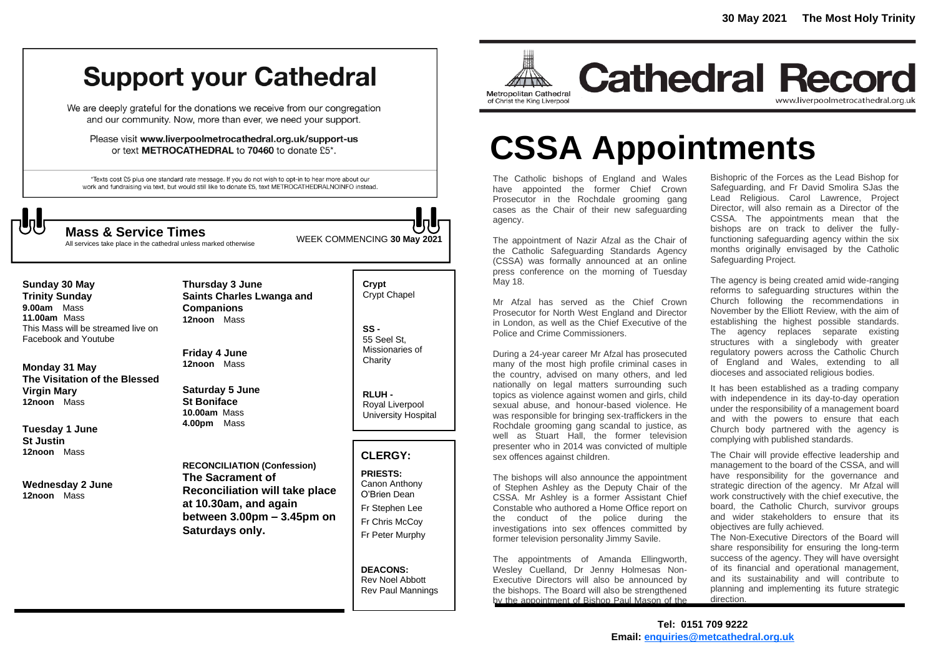# **Support your Cathedral**

We are deeply grateful for the donations we receive from our congregation and our community. Now, more than ever, we need your support.

Please visit www.liverpoolmetrocathedral.org.uk/support-us or text METROCATHEDRAL to 70460 to donate £5\*.

\*Texts cost £5 plus one standard rate message. If you do not wish to opt-in to hear more about our work and fundraising via text, but would still like to donate £5, text METROCATHEDRALNOINFO instead.



All services take place in the cathedral unless marked otherwise

WEEK COMMENCING **<sup>30</sup> May <sup>2021</sup> Mass & Service Times**

**Sunday 30 May Trinity Sunday 9.00am** Mass **11.00am** Mass This Mass will be streamed live on Facebook and Youtube

**Monday 31 May The Visitation of the Blessed Virgin Mary 12noon** Mass

**Tuesday 1 June St Justin 12noon** Mass

**Wednesday 2 June 12noon** Mass

**Saints Charles Lwanga and Companions 12noon** Mass **Friday 4 June**

**Thursday 3 June**

**Saturday 5 June St Boniface 10.00am** Mass **4.00pm** Mass

**12noon** Mass

**RECONCILIATION (Confession) The Sacrament of Reconciliation will take place at 10.30am, and again between 3.00pm – 3.45pm on Saturdays only.**

**Crypt**  Crypt Chapel

**SS -** 55 Seel St, Missionaries of **Charity** 

**RLUH -** Royal Liverpool University Hospital

## **CLERGY:**

**PRIESTS:** Canon Anthony O'Brien *Dean* Fr Stephen Lee Fr Chris McCoy Fr Peter Murphy

**DEACONS:** Rev Noel Abbott Rev Paul Mannings



**Cathedral Record** www.liverpoolmetrocathedral.org.uk

# **CSSA Appointments**

The Catholic bishops of England and Wales have appointed the former Chief Crown Prosecutor in the Rochdale grooming gang cases as the Chair of their new safeguarding agency.

The appointment of Nazir Afzal as the Chair of the Catholic Safeguarding Standards Agency (CSSA) was formally announced at an online press conference on the morning of Tuesday May 18.

Mr Afzal has served as the Chief Crown Prosecutor for North West England and Director in London, as well as the Chief Executive of the Police and Crime Commissioners.

During a 24-year career Mr Afzal has prosecuted many of the most high profile criminal cases in the country, advised on many others, and led nationally on legal matters surrounding such topics as violence against women and girls, child sexual abuse, and honour-based violence. He was responsible for bringing sex-traffickers in the Rochdale grooming gang scandal to justice, as well as Stuart Hall, the former television presenter who in 2014 was convicted of multiple sex offences against children.

The bishops will also announce the appointment of Stephen Ashley as the Deputy Chair of the CSSA. Mr Ashley is a former Assistant Chief Constable who authored a Home Office report on the conduct of the police during the investigations into sex offences committed by former television personality Jimmy Savile.

The appointments of Amanda Ellingworth, Wesley Cuelland, Dr Jenny Holmesas Non-Executive Directors will also be announced by the bishops. The Board will also be strengthened by the appointment of Bishop Paul Mason of the

Bishopric of the Forces as the Lead Bishop for Safeguarding, and Fr David Smolira SJas the Lead Religious. Carol Lawrence, Project Director, will also remain as a Director of the CSSA. The appointments mean that the bishops are on track to deliver the fullyfunctioning safeguarding agency within the six months originally envisaged by the Catholic Safeguarding Project.

The agency is being created amid wide-ranging reforms to safeguarding structures within the Church following the recommendations in November by the Elliott Review, with the aim of establishing the highest possible standards. The agency replaces separate existing structures with a singlebody with greater regulatory powers across the Catholic Church of England and Wales, extending to all dioceses and associated religious bodies.

It has been established as a trading company with independence in its day-to-day operation under the responsibility of a management board and with the powers to ensure that each Church body partnered with the agency is complying with published standards.

The Chair will provide effective leadership and management to the board of the CSSA, and will have responsibility for the governance and strategic direction of the agency. Mr Afzal will work constructively with the chief executive, the board, the Catholic Church, survivor groups and wider stakeholders to ensure that its objectives are fully achieved.

The Non-Executive Directors of the Board will share responsibility for ensuring the long-term success of the agency. They will have oversight of its financial and operational management, and its sustainability and will contribute to planning and implementing its future strategic direction.